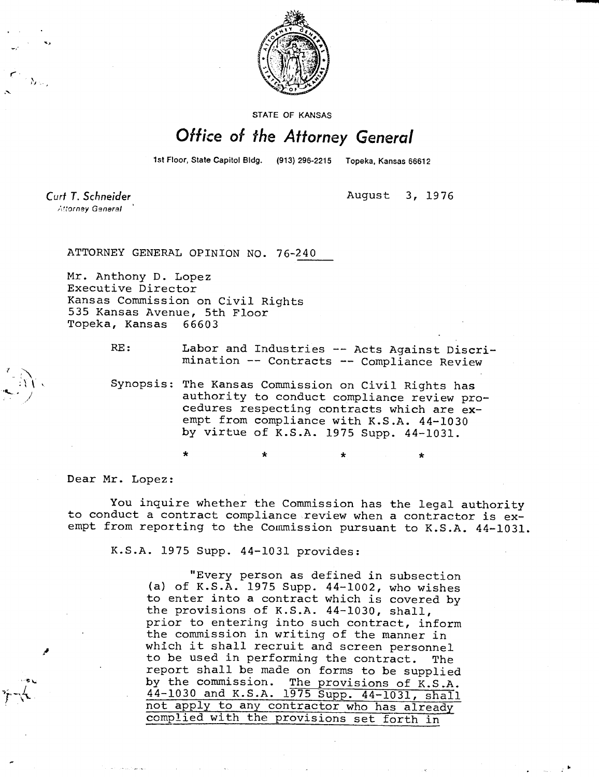

STATE OF KANSAS

## Office of the Attorney General

1st Floor, State Capitol Bldg. (913) 296-2215 Topeka, Kansas 66612

Curt T. Schneider Attorney General

August 3, 1976

ATTORNEY GENERAL OPINION NO. 76-240

Mr. Anthony D. Lopez Executive Director Kansas Commission on Civil Rights 535 Kansas Avenue, 5th Floor Topeka, Kansas 66603

> RE: Labor and Industries -- Acts Against Discrimination -- Contracts -- Compliance Review

Synopsis: The Kansas Commission on Civil Rights has authority to conduct compliance review procedures respecting contracts which are exempt from compliance with K.S.A. 44-1030 by virtue of K.S.A. 1975 Supp. 44-1031.

\* \*

Dear Mr. Lopez:

You inquire whether the Commission has the legal authority to conduct a contract compliance review when a contractor is exempt from reporting to the Commission pursuant to K.S.A. 44-1031.

K.S.A. 1975 Supp. 44-1031 provides:

"Every person as defined in subsection (a) of K.S.A. 1975 Supp. 44-1002, who wishes to enter into a contract which is covered by the provisions of K.S.A. 44-1030, shall, prior to entering into such contract, inform the commission in writing of the manner in which it shall recruit and screen personnel to be used in performing the contract. The report shall be made on forms to be supplied by the commission. The provisions of K.S.A. 44-1030 and K.S.A. 1975 Supp. 44-1031, shall not apply to any contractor who has already complied with the provisions set forth in